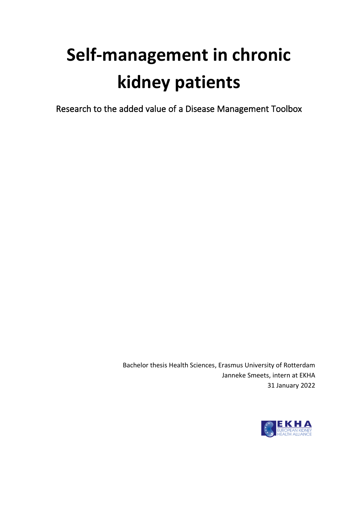# **Self-management in chronic kidney patients**

Research to the added value of a Disease Management Toolbox

Bachelor thesis Health Sciences, Erasmus University of Rotterdam Janneke Smeets, intern at EKHA 31 January 2022

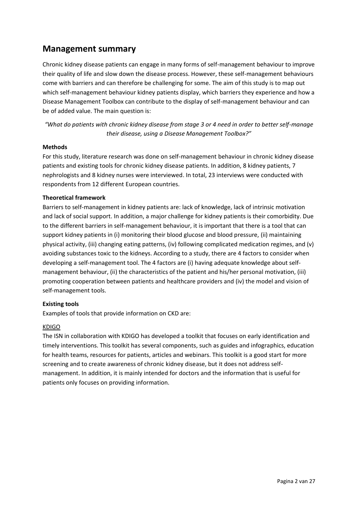# **Management summary**

Chronic kidney disease patients can engage in many forms of self-management behaviour to improve their quality of life and slow down the disease process. However, these self-management behaviours come with barriers and can therefore be challenging for some. The aim of this study is to map out which self-management behaviour kidney patients display, which barriers they experience and how a Disease Management Toolbox can contribute to the display of self-management behaviour and can be of added value. The main question is:

*"What do patients with chronic kidney disease from stage 3 or 4 need in order to better self-manage their disease, using a Disease Management Toolbox?"*

## **Methods**

For this study, literature research was done on self-management behaviour in chronic kidney disease patients and existing tools for chronic kidney disease patients. In addition, 8 kidney patients, 7 nephrologists and 8 kidney nurses were interviewed. In total, 23 interviews were conducted with respondents from 12 different European countries.

## **Theoretical framework**

Barriers to self-management in kidney patients are: lack of knowledge, lack of intrinsic motivation and lack of social support. In addition, a major challenge for kidney patients is their comorbidity. Due to the different barriers in self-management behaviour, it is important that there is a tool that can support kidney patients in (i) monitoring their blood glucose and blood pressure, (ii) maintaining physical activity, (iii) changing eating patterns, (iv) following complicated medication regimes, and (v) avoiding substances toxic to the kidneys. According to a study, there are 4 factors to consider when developing a self-management tool. The 4 factors are (i) having adequate knowledge about selfmanagement behaviour, (ii) the characteristics of the patient and his/her personal motivation, (iii) promoting cooperation between patients and healthcare providers and (iv) the model and vision of self-management tools.

#### **Existing tools**

Examples of tools that provide information on CKD are:

## KDIGO

The ISN in collaboration with KDIGO has developed a toolkit that focuses on early identification and timely interventions. This toolkit has several components, such as guides and infographics, education for health teams, resources for patients, articles and webinars. This toolkit is a good start for more screening and to create awareness of chronic kidney disease, but it does not address selfmanagement. In addition, it is mainly intended for doctors and the information that is useful for patients only focuses on providing information.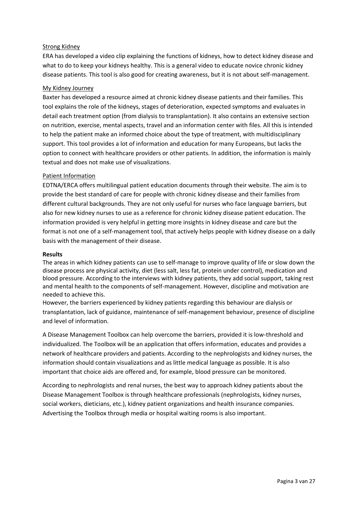## Strong Kidney

ERA has developed a video clip explaining the functions of kidneys, how to detect kidney disease and what to do to keep your kidneys healthy. This is a general video to educate novice chronic kidney disease patients. This tool is also good for creating awareness, but it is not about self-management.

## My Kidney Journey

Baxter has developed a resource aimed at chronic kidney disease patients and their families. This tool explains the role of the kidneys, stages of deterioration, expected symptoms and evaluates in detail each treatment option (from dialysis to transplantation). It also contains an extensive section on nutrition, exercise, mental aspects, travel and an information center with files. All this is intended to help the patient make an informed choice about the type of treatment, with multidisciplinary support. This tool provides a lot of information and education for many Europeans, but lacks the option to connect with healthcare providers or other patients. In addition, the information is mainly textual and does not make use of visualizations.

## Patient Information

EDTNA/ERCA offers multilingual patient education documents through their website. The aim is to provide the best standard of care for people with chronic kidney disease and their families from different cultural backgrounds. They are not only useful for nurses who face language barriers, but also for new kidney nurses to use as a reference for chronic kidney disease patient education. The information provided is very helpful in getting more insights in kidney disease and care but the format is not one of a self-management tool, that actively helps people with kidney disease on a daily basis with the management of their disease.

#### **Results**

The areas in which kidney patients can use to self-manage to improve quality of life or slow down the disease process are physical activity, diet (less salt, less fat, protein under control), medication and blood pressure. According to the interviews with kidney patients, they add social support, taking rest and mental health to the components of self-management. However, discipline and motivation are needed to achieve this.

However, the barriers experienced by kidney patients regarding this behaviour are dialysis or transplantation, lack of guidance, maintenance of self-management behaviour, presence of discipline and level of information.

A Disease Management Toolbox can help overcome the barriers, provided it is low-threshold and individualized. The Toolbox will be an application that offers information, educates and provides a network of healthcare providers and patients. According to the nephrologists and kidney nurses, the information should contain visualizations and as little medical language as possible. It is also important that choice aids are offered and, for example, blood pressure can be monitored.

According to nephrologists and renal nurses, the best way to approach kidney patients about the Disease Management Toolbox is through healthcare professionals (nephrologists, kidney nurses, social workers, dieticians, etc.), kidney patient organizations and health insurance companies. Advertising the Toolbox through media or hospital waiting rooms is also important.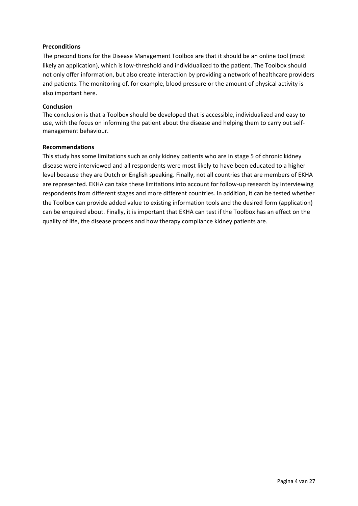## **Preconditions**

The preconditions for the Disease Management Toolbox are that it should be an online tool (most likely an application), which is low-threshold and individualized to the patient. The Toolbox should not only offer information, but also create interaction by providing a network of healthcare providers and patients. The monitoring of, for example, blood pressure or the amount of physical activity is also important here.

#### **Conclusion**

The conclusion is that a Toolbox should be developed that is accessible, individualized and easy to use, with the focus on informing the patient about the disease and helping them to carry out selfmanagement behaviour.

#### **Recommendations**

This study has some limitations such as only kidney patients who are in stage 5 of chronic kidney disease were interviewed and all respondents were most likely to have been educated to a higher level because they are Dutch or English speaking. Finally, not all countries that are members of EKHA are represented. EKHA can take these limitations into account for follow-up research by interviewing respondents from different stages and more different countries. In addition, it can be tested whether the Toolbox can provide added value to existing information tools and the desired form (application) can be enquired about. Finally, it is important that EKHA can test if the Toolbox has an effect on the quality of life, the disease process and how therapy compliance kidney patients are.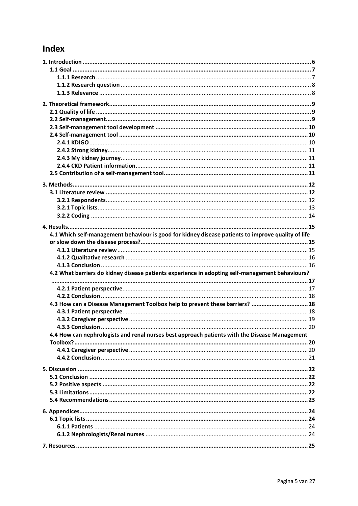# Index

| 4.1 Which self-management behaviour is good for kidney disease patients to improve quality of life |  |
|----------------------------------------------------------------------------------------------------|--|
|                                                                                                    |  |
|                                                                                                    |  |
|                                                                                                    |  |
|                                                                                                    |  |
|                                                                                                    |  |
| 4.2 What barriers do kidney disease patients experience in adopting self-management behaviours?    |  |
|                                                                                                    |  |
|                                                                                                    |  |
|                                                                                                    |  |
| 4.3 How can a Disease Management Toolbox help to prevent these barriers?  18                       |  |
|                                                                                                    |  |
|                                                                                                    |  |
| $\sim$ 20<br>4.3.3 Conclusion                                                                      |  |
| 4.4 How can nephrologists and renal nurses best approach patients with the Disease Management      |  |
|                                                                                                    |  |
|                                                                                                    |  |
|                                                                                                    |  |
|                                                                                                    |  |
|                                                                                                    |  |
|                                                                                                    |  |
|                                                                                                    |  |
|                                                                                                    |  |
|                                                                                                    |  |
|                                                                                                    |  |
|                                                                                                    |  |
|                                                                                                    |  |
|                                                                                                    |  |
|                                                                                                    |  |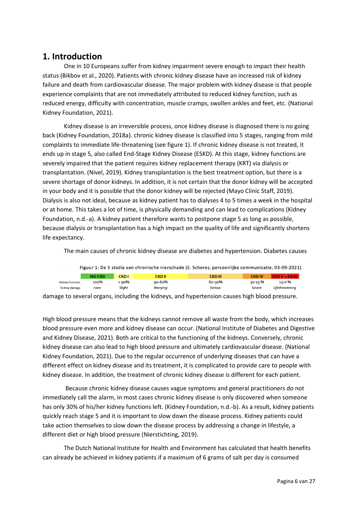# <span id="page-5-0"></span>**1. Introduction**

One in 10 Europeans suffer from kidney impairment severe enough to impact their health status (Bikbov et al., 2020). Patients with chronic kidney disease have an increased risk of kidney failure and death from cardiovascular disease. The major problem with kidney disease is that people experience complaints that are not immediately attributed to reduced kidney function, such as reduced energy, difficulty with concentration, muscle cramps, swollen ankles and feet, etc. (National Kidney Foundation, 2021).

Kidney disease is an irreversible process, once kidney disease is diagnosed there is no going back (Kidney Foundation, 2018a). chronic kidney disease is classified into 5 stages, ranging from mild complaints to immediate life-threatening (see figure 1). If chronic kidney disease is not treated, it ends up in stage 5, also called End-Stage Kidney Disease (ESKD). At this stage, kidney functions are severely impaired that the patient requires kidney replacement therapy (KRT) via dialysis or transplantation. (Nivel, 2019). Kidney transplantation is the best treatment option, but there is a severe shortage of donor kidneys. In addition, it is not certain that the donor kidney will be accepted in your body and it is possible that the donor kidney will be rejected (Mayo Clinic Staff, 2019). Dialysis is also not ideal, because as kidney patient has to dialyses 4 to 5 times a week in the hospital or at home. This takes a lot of time, is physically demanding and can lead to complications (Kidney Foundation, n.d.-a). A kidney patient therefore wants to postpone stage 5 as long as possible, because dialysis or transplantation has a high impact on the quality of life and significantly shortens life expectancy.

The main causes of chronic kidney disease are diabetes and hypertension. Diabetes causes

| Figuur 1: De 5 stadia van chronische nierschade (E. Scheres, persoonlijke communicatie, 03-09-2021). |               |             |               |                |                         |                 |  |
|------------------------------------------------------------------------------------------------------|---------------|-------------|---------------|----------------|-------------------------|-----------------|--|
|                                                                                                      | <b>NO CKD</b> | <b>CKD1</b> | <b>CKD II</b> | <b>CKD III</b> | <b>CKD<sub>IV</sub></b> | CKD V = ESKD    |  |
| Kidney function                                                                                      | 100%          | 90% >       | $90 - 60%$    | 6о-зо%         | २०-15 %                 | 15-0 %          |  |
| Kidney damage                                                                                        | none          | Slight      | Worrying      | <b>Serious</b> | Severe                  | Lifethreatening |  |

damage to several organs, including the kidneys, and hypertension causes high blood pressure.

High blood pressure means that the kidneys cannot remove all waste from the body, which increases blood pressure even more and kidney disease can occur. (National Institute of Diabetes and Digestive and Kidney Disease, 2021). Both are critical to the functioning of the kidneys. Conversely, chronic kidney disease can also lead to high blood pressure and ultimately cardiovascular disease. (National Kidney Foundation, 2021). Due to the regular occurrence of underlying diseases that can have a different effect on kidney disease and its treatment, it is complicated to provide care to people with kidney disease. In addition, the treatment of chronic kidney disease is different for each patient.

Because chronic kidney disease causes vague symptoms and general practitioners do not immediately call the alarm, in most cases chronic kidney disease is only discovered when someone has only 30% of his/her kidney functions left. (Kidney Foundation, n.d.-b). As a result, kidney patients quickly reach stage 5 and it is important to slow down the disease process. Kidney patients could take action themselves to slow down the disease process by addressing a change in lifestyle, a different diet or high blood pressure (Nierstichting, 2019).

The Dutch National Institute for Health and Environment has calculated that health benefits can already be achieved in kidney patients if a maximum of 6 grams of salt per day is consumed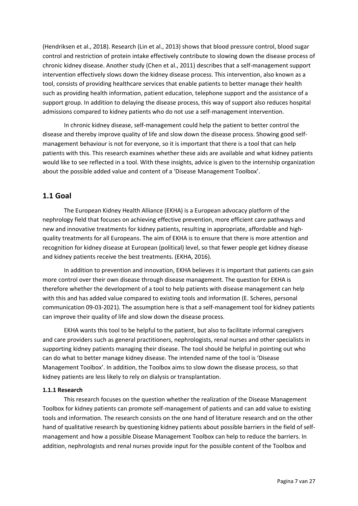(Hendriksen et al., 2018). Research (Lin et al., 2013) shows that blood pressure control, blood sugar control and restriction of protein intake effectively contribute to slowing down the disease process of chronic kidney disease. Another study (Chen et al., 2011) describes that a self-management support intervention effectively slows down the kidney disease process. This intervention, also known as a tool, consists of providing healthcare services that enable patients to better manage their health such as providing health information, patient education, telephone support and the assistance of a support group. In addition to delaying the disease process, this way of support also reduces hospital admissions compared to kidney patients who do not use a self-management intervention.

In chronic kidney disease, self-management could help the patient to better control the disease and thereby improve quality of life and slow down the disease process. Showing good selfmanagement behaviour is not for everyone, so it is important that there is a tool that can help patients with this. This research examines whether these aids are available and what kidney patients would like to see reflected in a tool. With these insights, advice is given to the internship organization about the possible added value and content of a 'Disease Management Toolbox'.

## <span id="page-6-0"></span>**1.1 Goal**

The European Kidney Health Alliance (EKHA) is a European advocacy platform of the nephrology field that focuses on achieving effective prevention, more efficient care pathways and new and innovative treatments for kidney patients, resulting in appropriate, affordable and highquality treatments for all Europeans. The aim of EKHA is to ensure that there is more attention and recognition for kidney disease at European (political) level, so that fewer people get kidney disease and kidney patients receive the best treatments. (EKHA, 2016).

In addition to prevention and innovation, EKHA believes it is important that patients can gain more control over their own disease through disease management. The question for EKHA is therefore whether the development of a tool to help patients with disease management can help with this and has added value compared to existing tools and information (E. Scheres, personal communication 09-03-2021). The assumption here is that a self-management tool for kidney patients can improve their quality of life and slow down the disease process.

EKHA wants this tool to be helpful to the patient, but also to facilitate informal caregivers and care providers such as general practitioners, nephrologists, renal nurses and other specialists in supporting kidney patients managing their disease. The tool should be helpful in pointing out who can do what to better manage kidney disease. The intended name of the tool is 'Disease Management Toolbox'. In addition, the Toolbox aims to slow down the disease process, so that kidney patients are less likely to rely on dialysis or transplantation.

## <span id="page-6-1"></span>**1.1.1 Research**

This research focuses on the question whether the realization of the Disease Management Toolbox for kidney patients can promote self-management of patients and can add value to existing tools and information. The research consists on the one hand of literature research and on the other hand of qualitative research by questioning kidney patients about possible barriers in the field of selfmanagement and how a possible Disease Management Toolbox can help to reduce the barriers. In addition, nephrologists and renal nurses provide input for the possible content of the Toolbox and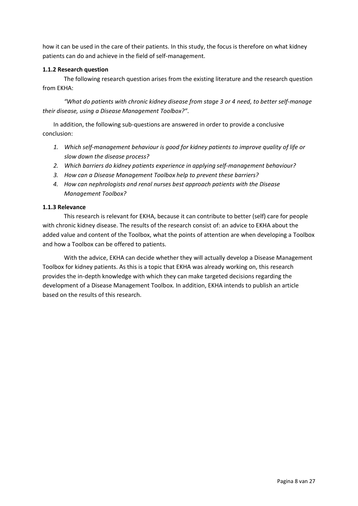how it can be used in the care of their patients. In this study, the focus is therefore on what kidney patients can do and achieve in the field of self-management.

## <span id="page-7-0"></span>**1.1.2 Research question**

The following research question arises from the existing literature and the research question from EKHA:

*"What do patients with chronic kidney disease from stage 3 or 4 need, to better self-manage their disease, using a Disease Management Toolbox?"*.

In addition, the following sub-questions are answered in order to provide a conclusive conclusion:

- *1. Which self-management behaviour is good for kidney patients to improve quality of life or slow down the disease process?*
- *2. Which barriers do kidney patients experience in applying self-management behaviour?*
- *3. How can a Disease Management Toolbox help to prevent these barriers?*
- *4. How can nephrologists and renal nurses best approach patients with the Disease Management Toolbox?*

## <span id="page-7-1"></span>**1.1.3 Relevance**

This research is relevant for EKHA, because it can contribute to better (self) care for people with chronic kidney disease. The results of the research consist of: an advice to EKHA about the added value and content of the Toolbox, what the points of attention are when developing a Toolbox and how a Toolbox can be offered to patients.

With the advice, EKHA can decide whether they will actually develop a Disease Management Toolbox for kidney patients. As this is a topic that EKHA was already working on, this research provides the in-depth knowledge with which they can make targeted decisions regarding the development of a Disease Management Toolbox. In addition, EKHA intends to publish an article based on the results of this research.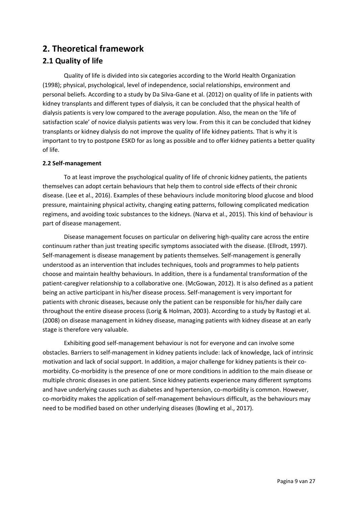# <span id="page-8-0"></span>**2. Theoretical framework**

# <span id="page-8-1"></span>**2.1 Quality of life**

Quality of life is divided into six categories according to the World Health Organization (1998); physical, psychological, level of independence, social relationships, environment and personal beliefs. According to a study by Da Silva-Gane et al. (2012) on quality of life in patients with kidney transplants and different types of dialysis, it can be concluded that the physical health of dialysis patients is very low compared to the average population. Also, the mean on the 'life of satisfaction scale' of novice dialysis patients was very low. From this it can be concluded that kidney transplants or kidney dialysis do not improve the quality of life kidney patients. That is why it is important to try to postpone ESKD for as long as possible and to offer kidney patients a better quality of life.

## <span id="page-8-2"></span>**2.2 Self-management**

To at least improve the psychological quality of life of chronic kidney patients, the patients themselves can adopt certain behaviours that help them to control side effects of their chronic disease. (Lee et al., 2016). Examples of these behaviours include monitoring blood glucose and blood pressure, maintaining physical activity, changing eating patterns, following complicated medication regimens, and avoiding toxic substances to the kidneys. (Narva et al., 2015). This kind of behaviour is part of disease management.

Disease management focuses on particular on delivering high-quality care across the entire continuum rather than just treating specific symptoms associated with the disease. (Ellrodt, 1997). Self-management is disease management by patients themselves. Self-management is generally understood as an intervention that includes techniques, tools and programmes to help patients choose and maintain healthy behaviours. In addition, there is a fundamental transformation of the patient-caregiver relationship to a collaborative one. (McGowan, 2012). It is also defined as a patient being an active participant in his/her disease process. Self-management is very important for patients with chronic diseases, because only the patient can be responsible for his/her daily care throughout the entire disease process (Lorig & Holman, 2003). According to a study by Rastogi et al. (2008) on disease management in kidney disease, managing patients with kidney disease at an early stage is therefore very valuable.

Exhibiting good self-management behaviour is not for everyone and can involve some obstacles. Barriers to self-management in kidney patients include: lack of knowledge, lack of intrinsic motivation and lack of social support. In addition, a major challenge for kidney patients is their comorbidity. Co-morbidity is the presence of one or more conditions in addition to the main disease or multiple chronic diseases in one patient. Since kidney patients experience many different symptoms and have underlying causes such as diabetes and hypertension, co-morbidity is common. However, co-morbidity makes the application of self-management behaviours difficult, as the behaviours may need to be modified based on other underlying diseases (Bowling et al., 2017).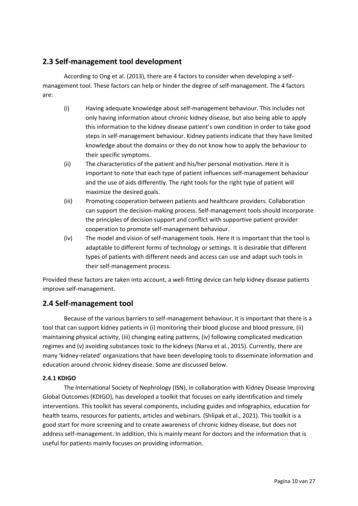## <span id="page-9-0"></span>**2.3 Self-management tool development**

According to Ong et al. (2013), there are 4 factors to consider when developing a selfmanagement tool. These factors can help or hinder the degree of self-management. The 4 factors are:

- (i) Having adequate knowledge about self-management behaviour. This includes not only having information about chronic kidney disease, but also being able to apply this information to the kidney disease patient's own condition in order to take good steps in self-management behaviour. Kidney patients indicate that they have limited knowledge about the domains or they do not know how to apply the behaviour to their specific symptoms.
- (ii) The characteristics of the patient and his/her personal motivation. Here it is important to note that each type of patient influences self-management behaviour and the use of aids differently. The right tools for the right type of patient will maximize the desired goals.
- (iii) Promoting cooperation between patients and healthcare providers. Collaboration can support the decision-making process. Self-management tools should incorporate the principles of decision support and conflict with supportive patient-provider cooperation to promote self-management behaviour.
- (iv) The model and vision of self-management tools. Here it is important that the tool is adaptable to different forms of technology or settings. It is desirable that different types of patients with different needs and access can use and adapt such tools in their self-management process.

Provided these factors are taken into account, a well-fitting device can help kidney disease patients improve self-management.

# <span id="page-9-1"></span>**2.4 Self-management tool**

Because of the various barriers to self-management behaviour, it is important that there is a tool that can support kidney patients in (i) monitoring their blood glucose and blood pressure, (ii) maintaining physical activity, (iii) changing eating patterns, (iv) following complicated medication regimes and (v) avoiding substances toxic to the kidneys (Narva et al., 2015). Currently, there are many 'kidney-related' organizations that have been developing tools to disseminate information and education around chronic kidney disease. Some are discussed below.

## <span id="page-9-2"></span>**2.4.1 KDIGO**

The International Society of Nephrology (ISN), in collaboration with Kidney Disease Improving Global Outcomes (KDIGO), has developed a toolkit that focuses on early identification and timely interventions. This toolkit has several components, including guides and infographics, education for health teams, resources for patients, articles and webinars. (Shlipak et al., 2021). This toolkit is a good start for more screening and to create awareness of chronic kidney disease, but does not address self-management. In addition, this is mainly meant for doctors and the information that is useful for patients mainly focuses on providing information.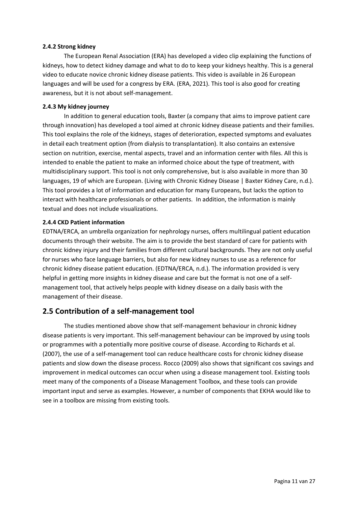#### <span id="page-10-0"></span>**2.4.2 Strong kidney**

The European Renal Association (ERA) has developed a video clip explaining the functions of kidneys, how to detect kidney damage and what to do to keep your kidneys healthy. This is a general video to educate novice chronic kidney disease patients. This video is available in 26 European languages and will be used for a congress by ERA. (ERA, 2021). This tool is also good for creating awareness, but it is not about self-management.

## <span id="page-10-1"></span>**2.4.3 My kidney journey**

In addition to general education tools, Baxter (a company that aims to improve patient care through innovation) has developed a tool aimed at chronic kidney disease patients and their families. This tool explains the role of the kidneys, stages of deterioration, expected symptoms and evaluates in detail each treatment option (from dialysis to transplantation). It also contains an extensive section on nutrition, exercise, mental aspects, travel and an information center with files. All this is intended to enable the patient to make an informed choice about the type of treatment, with multidisciplinary support. This tool is not only comprehensive, but is also available in more than 30 languages, 19 of which are European. (Living with Chronic Kidney Disease | Baxter Kidney Care, n.d.). This tool provides a lot of information and education for many Europeans, but lacks the option to interact with healthcare professionals or other patients. In addition, the information is mainly textual and does not include visualizations.

## <span id="page-10-2"></span>**2.4.4 CKD Patient information**

EDTNA/ERCA, an umbrella organization for nephrology nurses, offers multilingual patient education documents through their website. The aim is to provide the best standard of care for patients with chronic kidney injury and their families from different cultural backgrounds. They are not only useful for nurses who face language barriers, but also for new kidney nurses to use as a reference for chronic kidney disease patient education. (EDTNA/ERCA, n.d.). The information provided is very helpful in getting more insights in kidney disease and care but the format is not one of a selfmanagement tool, that actively helps people with kidney disease on a daily basis with the management of their disease.

# <span id="page-10-3"></span>**2.5 Contribution of a self-management tool**

The studies mentioned above show that self-management behaviour in chronic kidney disease patients is very important. This self-management behaviour can be improved by using tools or programmes with a potentially more positive course of disease. According to Richards et al. (2007), the use of a self-management tool can reduce healthcare costs for chronic kidney disease patients and slow down the disease process. Rocco (2009) also shows that significant cos savings and improvement in medical outcomes can occur when using a disease management tool. Existing tools meet many of the components of a Disease Management Toolbox, and these tools can provide important input and serve as examples. However, a number of components that EKHA would like to see in a toolbox are missing from existing tools.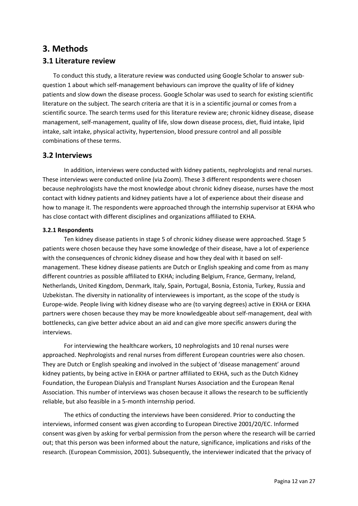# <span id="page-11-0"></span>**3. Methods**

## <span id="page-11-1"></span>**3.1 Literature review**

To conduct this study, a literature review was conducted using Google Scholar to answer subquestion 1 about which self-management behaviours can improve the quality of life of kidney patients and slow down the disease process. Google Scholar was used to search for existing scientific literature on the subject. The search criteria are that it is in a scientific journal or comes from a scientific source. The search terms used for this literature review are; chronic kidney disease, disease management, self-management, quality of life, slow down disease process, diet, fluid intake, lipid intake, salt intake, physical activity, hypertension, blood pressure control and all possible combinations of these terms.

## **3.2 Interviews**

In addition, interviews were conducted with kidney patients, nephrologists and renal nurses. These interviews were conducted online (via Zoom). These 3 different respondents were chosen because nephrologists have the most knowledge about chronic kidney disease, nurses have the most contact with kidney patients and kidney patients have a lot of experience about their disease and how to manage it. The respondents were approached through the internship supervisor at EKHA who has close contact with different disciplines and organizations affiliated to EKHA.

## <span id="page-11-2"></span>**3.2.1 Respondents**

Ten kidney disease patients in stage 5 of chronic kidney disease were approached. Stage 5 patients were chosen because they have some knowledge of their disease, have a lot of experience with the consequences of chronic kidney disease and how they deal with it based on selfmanagement. These kidney disease patients are Dutch or English speaking and come from as many different countries as possible affiliated to EKHA; including Belgium, France, Germany, Ireland, Netherlands, United Kingdom, Denmark, Italy, Spain, Portugal, Bosnia, Estonia, Turkey, Russia and Uzbekistan. The diversity in nationality of interviewees is important, as the scope of the study is Europe-wide. People living with kidney disease who are (to varying degrees) active in EKHA or EKHA partners were chosen because they may be more knowledgeable about self-management, deal with bottlenecks, can give better advice about an aid and can give more specific answers during the interviews.

For interviewing the healthcare workers, 10 nephrologists and 10 renal nurses were approached. Nephrologists and renal nurses from different European countries were also chosen. They are Dutch or English speaking and involved in the subject of 'disease management' around kidney patients, by being active in EKHA or partner affiliated to EKHA, such as the Dutch Kidney Foundation, the European Dialysis and Transplant Nurses Association and the European Renal Association. This number of interviews was chosen because it allows the research to be sufficiently reliable, but also feasible in a 5-month internship period.

The ethics of conducting the interviews have been considered. Prior to conducting the interviews, informed consent was given according to European Directive 2001/20/EC. Informed consent was given by asking for verbal permission from the person where the research will be carried out; that this person was been informed about the nature, significance, implications and risks of the research. (European Commission, 2001). Subsequently, the interviewer indicated that the privacy of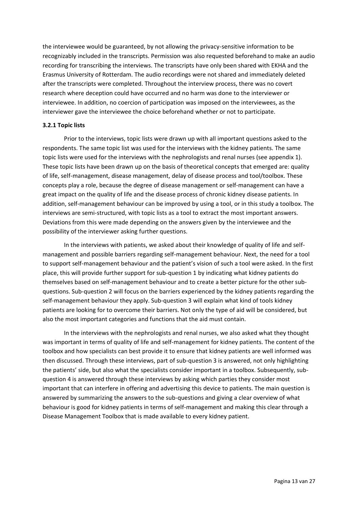the interviewee would be guaranteed, by not allowing the privacy-sensitive information to be recognizably included in the transcripts. Permission was also requested beforehand to make an audio recording for transcribing the interviews. The transcripts have only been shared with EKHA and the Erasmus University of Rotterdam. The audio recordings were not shared and immediately deleted after the transcripts were completed. Throughout the interview process, there was no covert research where deception could have occurred and no harm was done to the interviewer or interviewee. In addition, no coercion of participation was imposed on the interviewees, as the interviewer gave the interviewee the choice beforehand whether or not to participate.

#### <span id="page-12-0"></span>**3.2.1 Topic lists**

Prior to the interviews, topic lists were drawn up with all important questions asked to the respondents. The same topic list was used for the interviews with the kidney patients. The same topic lists were used for the interviews with the nephrologists and renal nurses (see appendix 1). These topic lists have been drawn up on the basis of theoretical concepts that emerged are: quality of life, self-management, disease management, delay of disease process and tool/toolbox. These concepts play a role, because the degree of disease management or self-management can have a great impact on the quality of life and the disease process of chronic kidney disease patients. In addition, self-management behaviour can be improved by using a tool, or in this study a toolbox. The interviews are semi-structured, with topic lists as a tool to extract the most important answers. Deviations from this were made depending on the answers given by the interviewee and the possibility of the interviewer asking further questions.

In the interviews with patients, we asked about their knowledge of quality of life and selfmanagement and possible barriers regarding self-management behaviour. Next, the need for a tool to support self-management behaviour and the patient's vision of such a tool were asked. In the first place, this will provide further support for sub-question 1 by indicating what kidney patients do themselves based on self-management behaviour and to create a better picture for the other subquestions. Sub-question 2 will focus on the barriers experienced by the kidney patients regarding the self-management behaviour they apply. Sub-question 3 will explain what kind of tools kidney patients are looking for to overcome their barriers. Not only the type of aid will be considered, but also the most important categories and functions that the aid must contain.

In the interviews with the nephrologists and renal nurses, we also asked what they thought was important in terms of quality of life and self-management for kidney patients. The content of the toolbox and how specialists can best provide it to ensure that kidney patients are well informed was then discussed. Through these interviews, part of sub-question 3 is answered, not only highlighting the patients' side, but also what the specialists consider important in a toolbox. Subsequently, subquestion 4 is answered through these interviews by asking which parties they consider most important that can interfere in offering and advertising this device to patients. The main question is answered by summarizing the answers to the sub-questions and giving a clear overview of what behaviour is good for kidney patients in terms of self-management and making this clear through a Disease Management Toolbox that is made available to every kidney patient.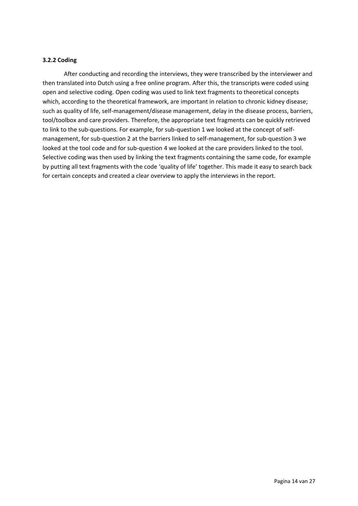## <span id="page-13-0"></span>**3.2.2 Coding**

After conducting and recording the interviews, they were transcribed by the interviewer and then translated into Dutch using a free online program. After this, the transcripts were coded using open and selective coding. Open coding was used to link text fragments to theoretical concepts which, according to the theoretical framework, are important in relation to chronic kidney disease; such as quality of life, self-management/disease management, delay in the disease process, barriers, tool/toolbox and care providers. Therefore, the appropriate text fragments can be quickly retrieved to link to the sub-questions. For example, for sub-question 1 we looked at the concept of selfmanagement, for sub-question 2 at the barriers linked to self-management, for sub-question 3 we looked at the tool code and for sub-question 4 we looked at the care providers linked to the tool. Selective coding was then used by linking the text fragments containing the same code, for example by putting all text fragments with the code 'quality of life' together. This made it easy to search back for certain concepts and created a clear overview to apply the interviews in the report.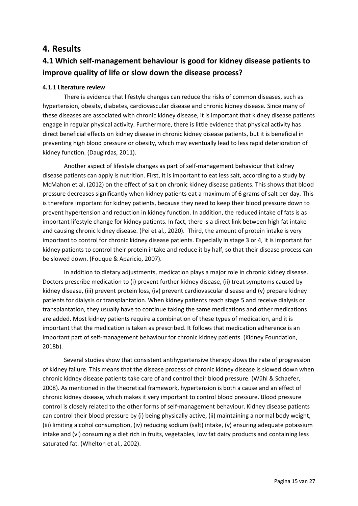# <span id="page-14-0"></span>**4. Results**

# <span id="page-14-1"></span>**4.1 Which self-management behaviour is good for kidney disease patients to improve quality of life or slow down the disease process?**

## <span id="page-14-2"></span>**4.1.1 Literature review**

There is evidence that lifestyle changes can reduce the risks of common diseases, such as hypertension, obesity, diabetes, cardiovascular disease and chronic kidney disease. Since many of these diseases are associated with chronic kidney disease, it is important that kidney disease patients engage in regular physical activity. Furthermore, there is little evidence that physical activity has direct beneficial effects on kidney disease in chronic kidney disease patients, but it is beneficial in preventing high blood pressure or obesity, which may eventually lead to less rapid deterioration of kidney function. (Daugirdas, 2011).

Another aspect of lifestyle changes as part of self-management behaviour that kidney disease patients can apply is nutrition. First, it is important to eat less salt, according to a study by McMahon et al. (2012) on the effect of salt on chronic kidney disease patients. This shows that blood pressure decreases significantly when kidney patients eat a maximum of 6 grams of salt per day. This is therefore important for kidney patients, because they need to keep their blood pressure down to prevent hypertension and reduction in kidney function. In addition, the reduced intake of fats is as important lifestyle change for kidney patients. In fact, there is a direct link between high fat intake and causing chronic kidney disease. (Pei et al., 2020). Third, the amount of protein intake is very important to control for chronic kidney disease patients. Especially in stage 3 or 4, it is important for kidney patients to control their protein intake and reduce it by half, so that their disease process can be slowed down. (Fouque & Aparicio, 2007).

In addition to dietary adjustments, medication plays a major role in chronic kidney disease. Doctors prescribe medication to (i) prevent further kidney disease, (ii) treat symptoms caused by kidney disease, (iii) prevent protein loss, (iv) prevent cardiovascular disease and (v) prepare kidney patients for dialysis or transplantation. When kidney patients reach stage 5 and receive dialysis or transplantation, they usually have to continue taking the same medications and other medications are added. Most kidney patients require a combination of these types of medication, and it is important that the medication is taken as prescribed. It follows that medication adherence is an important part of self-management behaviour for chronic kidney patients. (Kidney Foundation, 2018b).

Several studies show that consistent antihypertensive therapy slows the rate of progression of kidney failure. This means that the disease process of chronic kidney disease is slowed down when chronic kidney disease patients take care of and control their blood pressure. (Wühl & Schaefer, 2008). As mentioned in the theoretical framework, hypertension is both a cause and an effect of chronic kidney disease, which makes it very important to control blood pressure. Blood pressure control is closely related to the other forms of self-management behaviour. Kidney disease patients can control their blood pressure by (i) being physically active, (ii) maintaining a normal body weight, (iii) limiting alcohol consumption, (iv) reducing sodium (salt) intake, (v) ensuring adequate potassium intake and (vi) consuming a diet rich in fruits, vegetables, low fat dairy products and containing less saturated fat. (Whelton et al., 2002).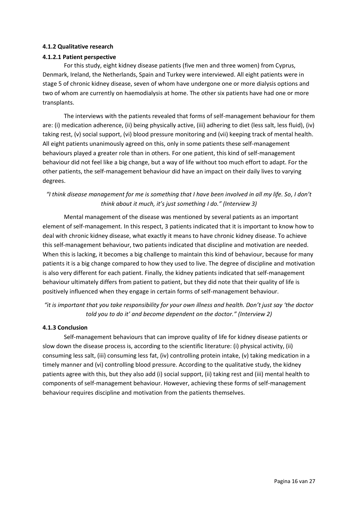## <span id="page-15-0"></span>**4.1.2 Qualitative research**

## **4.1.2.1 Patient perspective**

For this study, eight kidney disease patients (five men and three women) from Cyprus, Denmark, Ireland, the Netherlands, Spain and Turkey were interviewed. All eight patients were in stage 5 of chronic kidney disease, seven of whom have undergone one or more dialysis options and two of whom are currently on haemodialysis at home. The other six patients have had one or more transplants.

The interviews with the patients revealed that forms of self-management behaviour for them are: (i) medication adherence, (ii) being physically active, (iii) adhering to diet (less salt, less fluid), (iv) taking rest, (v) social support, (vi) blood pressure monitoring and (vii) keeping track of mental health. All eight patients unanimously agreed on this, only in some patients these self-management behaviours played a greater role than in others. For one patient, this kind of self-management behaviour did not feel like a big change, but a way of life without too much effort to adapt. For the other patients, the self-management behaviour did have an impact on their daily lives to varying degrees.

## *"I think disease management for me is something that I have been involved in all my life. So, I don't think about it much, it's just something I do." (Interview 3)*

Mental management of the disease was mentioned by several patients as an important element of self-management. In this respect, 3 patients indicated that it is important to know how to deal with chronic kidney disease, what exactly it means to have chronic kidney disease. To achieve this self-management behaviour, two patients indicated that discipline and motivation are needed. When this is lacking, it becomes a big challenge to maintain this kind of behaviour, because for many patients it is a big change compared to how they used to live. The degree of discipline and motivation is also very different for each patient. Finally, the kidney patients indicated that self-management behaviour ultimately differs from patient to patient, but they did note that their quality of life is positively influenced when they engage in certain forms of self-management behaviour.

*"it is important that you take responsibility for your own illness and health. Don't just say 'the doctor told you to do it' and become dependent on the doctor." (Interview 2)*

## <span id="page-15-1"></span>**4.1.3 Conclusion**

Self-management behaviours that can improve quality of life for kidney disease patients or slow down the disease process is, according to the scientific literature: (i) physical activity, (ii) consuming less salt, (iii) consuming less fat, (iv) controlling protein intake, (v) taking medication in a timely manner and (vi) controlling blood pressure. According to the qualitative study, the kidney patients agree with this, but they also add (i) social support, (ii) taking rest and (iii) mental health to components of self-management behaviour. However, achieving these forms of self-management behaviour requires discipline and motivation from the patients themselves.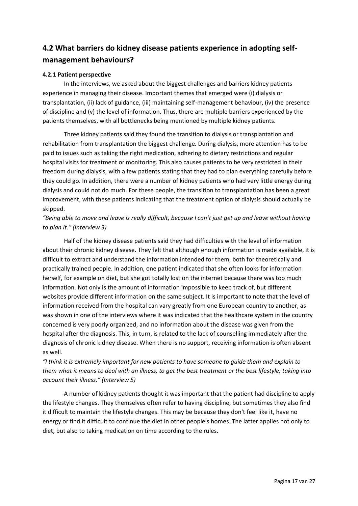# <span id="page-16-0"></span>**4.2 What barriers do kidney disease patients experience in adopting selfmanagement behaviours?**

## <span id="page-16-1"></span>**4.2.1 Patient perspective**

In the interviews, we asked about the biggest challenges and barriers kidney patients experience in managing their disease. Important themes that emerged were (i) dialysis or transplantation, (ii) lack of guidance, (iii) maintaining self-management behaviour, (iv) the presence of discipline and (v) the level of information. Thus, there are multiple barriers experienced by the patients themselves, with all bottlenecks being mentioned by multiple kidney patients.

Three kidney patients said they found the transition to dialysis or transplantation and rehabilitation from transplantation the biggest challenge. During dialysis, more attention has to be paid to issues such as taking the right medication, adhering to dietary restrictions and regular hospital visits for treatment or monitoring. This also causes patients to be very restricted in their freedom during dialysis, with a few patients stating that they had to plan everything carefully before they could go. In addition, there were a number of kidney patients who had very little energy during dialysis and could not do much. For these people, the transition to transplantation has been a great improvement, with these patients indicating that the treatment option of dialysis should actually be skipped.

## *"Being able to move and leave is really difficult, because I can't just get up and leave without having to plan it." (Interview 3)*

Half of the kidney disease patients said they had difficulties with the level of information about their chronic kidney disease. They felt that although enough information is made available, it is difficult to extract and understand the information intended for them, both for theoretically and practically trained people. In addition, one patient indicated that she often looks for information herself, for example on diet, but she got totally lost on the internet because there was too much information. Not only is the amount of information impossible to keep track of, but different websites provide different information on the same subject. It is important to note that the level of information received from the hospital can vary greatly from one European country to another, as was shown in one of the interviews where it was indicated that the healthcare system in the country concerned is very poorly organized, and no information about the disease was given from the hospital after the diagnosis. This, in turn, is related to the lack of counselling immediately after the diagnosis of chronic kidney disease. When there is no support, receiving information is often absent as well.

## *"I think it is extremely important for new patients to have someone to guide them and explain to them what it means to deal with an illness, to get the best treatment or the best lifestyle, taking into account their illness." (Interview 5)*

A number of kidney patients thought it was important that the patient had discipline to apply the lifestyle changes. They themselves often refer to having discipline, but sometimes they also find it difficult to maintain the lifestyle changes. This may be because they don't feel like it, have no energy or find it difficult to continue the diet in other people's homes. The latter applies not only to diet, but also to taking medication on time according to the rules.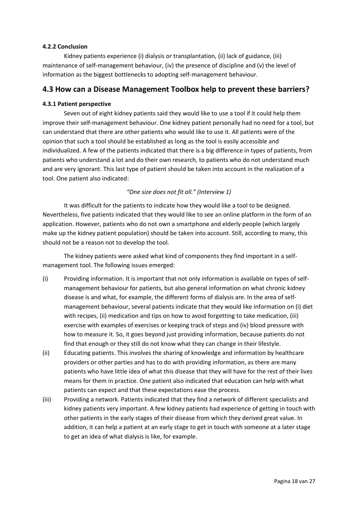## <span id="page-17-0"></span>**4.2.2 Conclusion**

Kidney patients experience (i) dialysis or transplantation, (ii) lack of guidance, (iii) maintenance of self-management behaviour, (iv) the presence of discipline and (v) the level of information as the biggest bottlenecks to adopting self-management behaviour.

## <span id="page-17-1"></span>**4.3 How can a Disease Management Toolbox help to prevent these barriers?**

## <span id="page-17-2"></span>**4.3.1 Patient perspective**

Seven out of eight kidney patients said they would like to use a tool if it could help them improve their self-management behaviour. One kidney patient personally had no need for a tool, but can understand that there are other patients who would like to use it. All patients were of the opinion that such a tool should be established as long as the tool is easily accessible and individualized. A few of the patients indicated that there is a big difference in types of patients, from patients who understand a lot and do their own research, to patients who do not understand much and are very ignorant. This last type of patient should be taken into account in the realization of a tool. One patient also indicated:

## *"One size does not fit all." (Interview 1)*

It was difficult for the patients to indicate how they would like a tool to be designed. Nevertheless, five patients indicated that they would like to see an online platform in the form of an application. However, patients who do not own a smartphone and elderly people (which largely make up the kidney patient population) should be taken into account. Still, according to many, this should not be a reason not to develop the tool.

The kidney patients were asked what kind of components they find important in a selfmanagement tool. The following issues emerged:

- (i) Providing information. It is important that not only information is available on types of selfmanagement behaviour for patients, but also general information on what chronic kidney disease is and what, for example, the different forms of dialysis are. In the area of selfmanagement behaviour, several patients indicate that they would like information on (i) diet with recipes, (ii) medication and tips on how to avoid forgetting to take medication, (iii) exercise with examples of exercises or keeping track of steps and (iv) blood pressure with how to measure it. So, it goes beyond just providing information, because patients do not find that enough or they still do not know what they can change in their lifestyle.
- (ii) Educating patients. This involves the sharing of knowledge and information by healthcare providers or other parties and has to do with providing information, as there are many patients who have little idea of what this disease that they will have for the rest of their lives means for them in practice. One patient also indicated that education can help with what patients can expect and that these expectations ease the process.
- (iii) Providing a network. Patients indicated that they find a network of different specialists and kidney patients very important. A few kidney patients had experience of getting in touch with other patients in the early stages of their disease from which they derived great value. In addition, it can help a patient at an early stage to get in touch with someone at a later stage to get an idea of what dialysis is like, for example.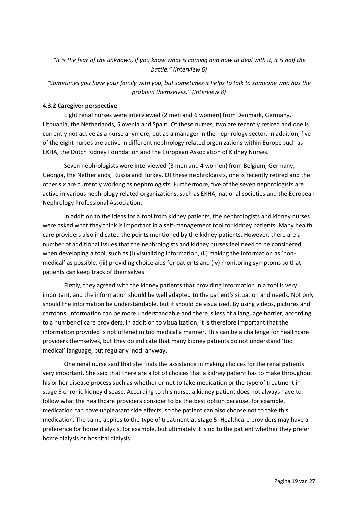## *"It is the fear of the unknown, if you know what is coming and how to deal with it, it is half the battle." (Interview 6)*

*"Sometimes you have your family with you, but sometimes it helps to talk to someone who has the problem themselves." (Interview 8)*

## <span id="page-18-0"></span>**4.3.2 Caregiver perspective**

Eight renal nurses were interviewed (2 men and 6 women) from Denmark, Germany, Lithuania, the Netherlands, Slovenia and Spain. Of these nurses, two are recently retired and one is currently not active as a nurse anymore, but as a manager in the nephrology sector. In addition, five of the eight nurses are active in different nephrology related organizations within Europe such as EKHA, the Dutch Kidney Foundation and the European Association of Kidney Nurses.

Seven nephrologists were interviewed (3 men and 4 women) from Belgium, Germany, Georgia, the Netherlands, Russia and Turkey. Of these nephrologists, one is recently retired and the other six are currently working as nephrologists. Furthermore, five of the seven nephrologists are active in various nephrology related organizations, such as EKHA, national societies and the European Nephrology Professional Association.

In addition to the ideas for a tool from kidney patients, the nephrologists and kidney nurses were asked what they think is important in a self-management tool for kidney patients. Many health care providers also indicated the points mentioned by the kidney patients. However, there are a number of additional issues that the nephrologists and kidney nurses feel need to be considered when developing a tool, such as (i) visualizing information, (ii) making the information as 'nonmedical' as possible, (iii) providing choice aids for patients and (iv) monitoring symptoms so that patients can keep track of themselves.

Firstly, they agreed with the kidney patients that providing information in a tool is very important, and the information should be well adapted to the patient's situation and needs. Not only should the information be understandable, but it should be visualized. By using videos, pictures and cartoons, information can be more understandable and there is less of a language barrier, according to a number of care providers. In addition to visualization, it is therefore important that the information provided is not offered in too medical a manner. This can be a challenge for healthcare providers themselves, but they do indicate that many kidney patients do not understand 'too medical' language, but regularly 'nod' anyway.

One renal nurse said that she finds the assistance in making choices for the renal patients very important. She said that there are a lot of choices that a kidney patient has to make throughout his or her disease process such as whether or not to take medication or the type of treatment in stage 5 chronic kidney disease. According to this nurse, a kidney patient does not always have to follow what the healthcare providers consider to be the best option because, for example, medication can have unpleasant side effects, so the patient can also choose not to take this medication. The same applies to the type of treatment at stage 5. Healthcare providers may have a preference for home dialysis, for example, but ultimately it is up to the patient whether they prefer home dialysis or hospital dialysis.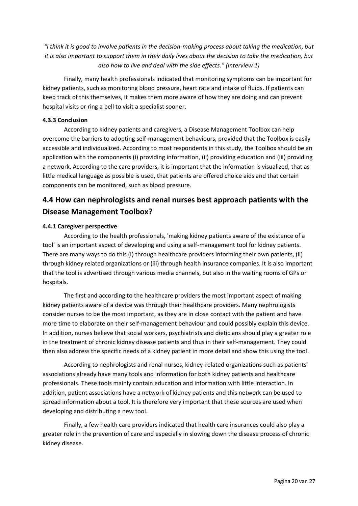*"I think it is good to involve patients in the decision-making process about taking the medication, but it is also important to support them in their daily lives about the decision to take the medication, but also how to live and deal with the side effects." (Interview 1)*

Finally, many health professionals indicated that monitoring symptoms can be important for kidney patients, such as monitoring blood pressure, heart rate and intake of fluids. If patients can keep track of this themselves, it makes them more aware of how they are doing and can prevent hospital visits or ring a bell to visit a specialist sooner.

## <span id="page-19-0"></span>**4.3.3 Conclusion**

According to kidney patients and caregivers, a Disease Management Toolbox can help overcome the barriers to adopting self-management behaviours, provided that the Toolbox is easily accessible and individualized. According to most respondents in this study, the Toolbox should be an application with the components (i) providing information, (ii) providing education and (iii) providing a network. According to the care providers, it is important that the information is visualized, that as little medical language as possible is used, that patients are offered choice aids and that certain components can be monitored, such as blood pressure.

# <span id="page-19-1"></span>**4.4 How can nephrologists and renal nurses best approach patients with the Disease Management Toolbox?**

## <span id="page-19-2"></span>**4.4.1 Caregiver perspective**

According to the health professionals, 'making kidney patients aware of the existence of a tool' is an important aspect of developing and using a self-management tool for kidney patients. There are many ways to do this (i) through healthcare providers informing their own patients, (ii) through kidney related organizations or (iii) through health insurance companies. It is also important that the tool is advertised through various media channels, but also in the waiting rooms of GPs or hospitals.

The first and according to the healthcare providers the most important aspect of making kidney patients aware of a device was through their healthcare providers. Many nephrologists consider nurses to be the most important, as they are in close contact with the patient and have more time to elaborate on their self-management behaviour and could possibly explain this device. In addition, nurses believe that social workers, psychiatrists and dieticians should play a greater role in the treatment of chronic kidney disease patients and thus in their self-management. They could then also address the specific needs of a kidney patient in more detail and show this using the tool.

According to nephrologists and renal nurses, kidney-related organizations such as patients' associations already have many tools and information for both kidney patients and healthcare professionals. These tools mainly contain education and information with little interaction. In addition, patient associations have a network of kidney patients and this network can be used to spread information about a tool. It is therefore very important that these sources are used when developing and distributing a new tool.

Finally, a few health care providers indicated that health care insurances could also play a greater role in the prevention of care and especially in slowing down the disease process of chronic kidney disease.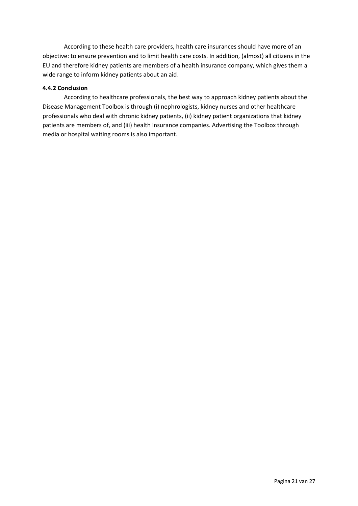According to these health care providers, health care insurances should have more of an objective: to ensure prevention and to limit health care costs. In addition, (almost) all citizens in the EU and therefore kidney patients are members of a health insurance company, which gives them a wide range to inform kidney patients about an aid.

## <span id="page-20-0"></span>**4.4.2 Conclusion**

According to healthcare professionals, the best way to approach kidney patients about the Disease Management Toolbox is through (i) nephrologists, kidney nurses and other healthcare professionals who deal with chronic kidney patients, (ii) kidney patient organizations that kidney patients are members of, and (iii) health insurance companies. Advertising the Toolbox through media or hospital waiting rooms is also important.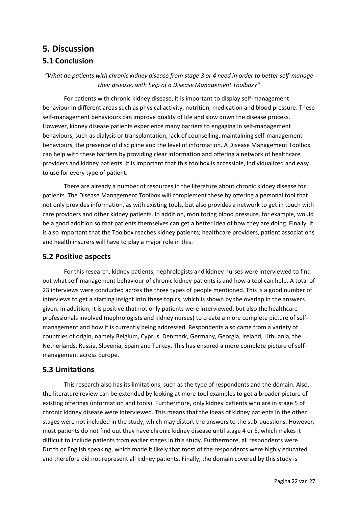# <span id="page-21-1"></span><span id="page-21-0"></span>**5. Discussion 5.1 Conclusion**

*"What do patients with chronic kidney disease from stage 3 or 4 need in order to better self-manage their disease, with help of a Disease Management Toolbox?"*

For patients with chronic kidney disease, it is important to display self-management behaviour in different areas such as physical activity, nutrition, medication and blood pressure. These self-management behaviours can improve quality of life and slow down the disease process. However, kidney disease patients experience many barriers to engaging in self-management behaviours, such as dialysis or transplantation, lack of counselling, maintaining self-management behaviours, the presence of discipline and the level of information. A Disease Management Toolbox can help with these barriers by providing clear information and offering a network of healthcare providers and kidney patients. It is important that this toolbox is accessible, individualized and easy to use for every type of patient.

There are already a number of resources in the literature about chronic kidney disease for patients. The Disease Management Toolbox will complement these by offering a personal tool that not only provides information, as with existing tools, but also provides a network to get in touch with care providers and other kidney patients. In addition, monitoring blood pressure, for example, would be a good addition so that patients themselves can get a better idea of how they are doing. Finally, it is also important that the Toolbox reaches kidney patients; healthcare providers, patient associations and health insurers will have to play a major role in this.

## <span id="page-21-2"></span>**5.2 Positive aspects**

For this research, kidney patients, nephrologists and kidney nurses were interviewed to find out what self-management behaviour of chronic kidney patients is and how a tool can help. A total of 23 interviews were conducted across the three types of people mentioned. This is a good number of interviews to get a starting insight into these topics, which is shown by the overlap in the answers given. In addition, it is positive that not only patients were interviewed, but also the healthcare professionals involved (nephrologists and kidney nurses) to create a more complete picture of selfmanagement and how it is currently being addressed. Respondents also came from a variety of countries of origin, namely Belgium, Cyprus, Denmark, Germany, Georgia, Ireland, Lithuania, the Netherlands, Russia, Slovenia, Spain and Turkey. This has ensured a more complete picture of selfmanagement across Europe.

# <span id="page-21-3"></span>**5.3 Limitations**

This research also has its limitations, such as the type of respondents and the domain. Also, the literature review can be extended by looking at more tool examples to get a broader picture of existing offerings (information and tools). Furthermore, only kidney patients who are in stage 5 of chronic kidney disease were interviewed. This means that the ideas of kidney patients in the other stages were not included in the study, which may distort the answers to the sub-questions. However, most patients do not find out they have chronic kidney disease until stage 4 or 5, which makes it difficult to include patients from earlier stages in this study. Furthermore, all respondents were Dutch or English speaking, which made it likely that most of the respondents were highly educated and therefore did not represent all kidney patients. Finally, the domain covered by this study is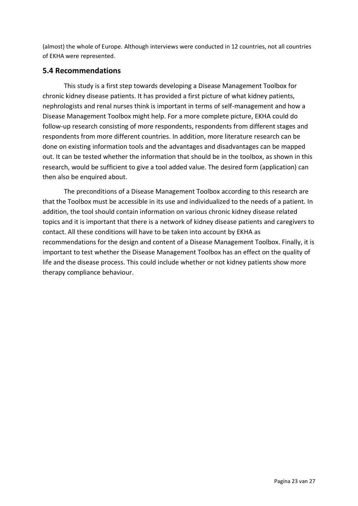(almost) the whole of Europe. Although interviews were conducted in 12 countries, not all countries of EKHA were represented.

# <span id="page-22-0"></span>**5.4 Recommendations**

This study is a first step towards developing a Disease Management Toolbox for chronic kidney disease patients. It has provided a first picture of what kidney patients, nephrologists and renal nurses think is important in terms of self-management and how a Disease Management Toolbox might help. For a more complete picture, EKHA could do follow-up research consisting of more respondents, respondents from different stages and respondents from more different countries. In addition, more literature research can be done on existing information tools and the advantages and disadvantages can be mapped out. It can be tested whether the information that should be in the toolbox, as shown in this research, would be sufficient to give a tool added value. The desired form (application) can then also be enquired about.

The preconditions of a Disease Management Toolbox according to this research are that the Toolbox must be accessible in its use and individualized to the needs of a patient. In addition, the tool should contain information on various chronic kidney disease related topics and it is important that there is a network of kidney disease patients and caregivers to contact. All these conditions will have to be taken into account by EKHA as recommendations for the design and content of a Disease Management Toolbox. Finally, it is important to test whether the Disease Management Toolbox has an effect on the quality of life and the disease process. This could include whether or not kidney patients show more therapy compliance behaviour.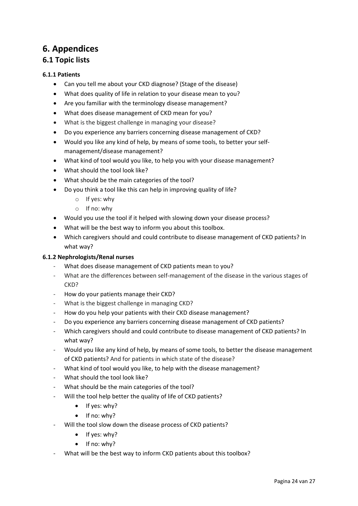# <span id="page-23-0"></span>**6. Appendices**

# <span id="page-23-1"></span>**6.1 Topic lists**

## <span id="page-23-2"></span>**6.1.1 Patients**

- Can you tell me about your CKD diagnose? (Stage of the disease)
- What does quality of life in relation to your disease mean to you?
- Are you familiar with the terminology disease management?
- What does disease management of CKD mean for you?
- What is the biggest challenge in managing your disease?
- Do you experience any barriers concerning disease management of CKD?
- Would you like any kind of help, by means of some tools, to better your selfmanagement/disease management?
- What kind of tool would you like, to help you with your disease management?
- What should the tool look like?
- What should be the main categories of the tool?
- Do you think a tool like this can help in improving quality of life?
	- o If yes: why
	- o If no: why
- Would you use the tool if it helped with slowing down your disease process?
- What will be the best way to inform you about this toolbox.
- Which caregivers should and could contribute to disease management of CKD patients? In what way?

## <span id="page-23-3"></span>**6.1.2 Nephrologists/Renal nurses**

- What does disease management of CKD patients mean to you?
- What are the differences between self-management of the disease in the various stages of CKD?
- How do your patients manage their CKD?
- What is the biggest challenge in managing CKD?
- How do you help your patients with their CKD disease management?
- Do you experience any barriers concerning disease management of CKD patients?
- Which caregivers should and could contribute to disease management of CKD patients? In what way?
- Would you like any kind of help, by means of some tools, to better the disease management of CKD patients? And for patients in which state of the disease?
- What kind of tool would you like, to help with the disease management?
- What should the tool look like?
- What should be the main categories of the tool?
- Will the tool help better the quality of life of CKD patients?
	- If yes: why?
	- If no: why?
- Will the tool slow down the disease process of CKD patients?
	- If yes: why?
	- If no: why?
- What will be the best way to inform CKD patients about this toolbox?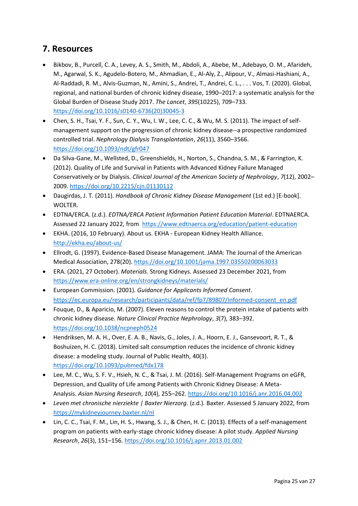# <span id="page-24-0"></span>**7. Resources**

- Bikbov, B., Purcell, C. A., Levey, A. S., Smith, M., Abdoli, A., Abebe, M., Adebayo, O. M., Afarideh, M., Agarwal, S. K., Agudelo-Botero, M., Ahmadian, E., Al-Aly, Z., Alipour, V., Almasi-Hashiani, A., Al-Raddadi, R. M., Alvis-Guzman, N., Amini, S., Andrei, T., Andrei, C. L., . . . Vos, T. (2020). Global, regional, and national burden of chronic kidney disease, 1990–2017: a systematic analysis for the Global Burden of Disease Study 2017. *The Lancet*, *395*(10225), 709–733. [https://doi.org/10.1016/s0140-6736\(20\)30045-3](https://doi.org/10.1016/s0140-6736(20)30045-3)
- Chen, S. H., Tsai, Y. F., Sun, C. Y., Wu, I. W., Lee, C. C., & Wu, M. S. (2011). The impact of selfmanagement support on the progression of chronic kidney disease--a prospective randomized controlled trial. *Nephrology Dialysis Transplantation*, *26*(11), 3560–3566. <https://doi.org/10.1093/ndt/gfr047>
- Da Silva-Gane, M., Wellsted, D., Greenshields, H., Norton, S., Chandna, S. M., & Farrington, K. (2012). Quality of Life and Survival in Patients with Advanced Kidney Failure Managed Conservatively or by Dialysis. *Clinical Journal of the American Society of Nephrology*, *7*(12), 2002– 2009.<https://doi.org/10.2215/cjn.01130112>
- Daugirdas, J. T. (2011). *Handbook of Chronic Kidney Disease Management* (1st ed.) [E-book]. WOLTER.
- EDTNA/ERCA. (z.d.). *EDTNA/ERCA Patient Information Patient Education Material*. EDTNAERCA. Assessed 22 January 2022, from <https://www.edtnaerca.org/education/patient-education>
- EKHA. (2016, 10 February). About us. EKHA European Kidney Health Alliance. <http://ekha.eu/about-us/>
- Ellrodt, G. (1997). Evidence-Based Disease Management. JAMA: The Journal of the American Medical Association, 278(20).<https://doi.org/10.1001/jama.1997.03550200063033>
- ERA. (2021, 27 October). *Materials*. Strong Kidneys. Assessed 23 December 2021, from <https://www.era-online.org/en/strongkidneys/materials/>
- European Commission. (2001). *Guidance for Applicants Informed Consent*. [https://ec.europa.eu/research/participants/data/ref/fp7/89807/informed-consent\\_en.pdf](https://ec.europa.eu/research/participants/data/ref/fp7/89807/informed-consent_en.pdf)
- Fouque, D., & Aparicio, M. (2007). Eleven reasons to control the protein intake of patients with chronic kidney disease. *Nature Clinical Practice Nephrology*, *3*(7), 383–392. <https://doi.org/10.1038/ncpneph0524>
- Hendriksen, M. A. H., Over, E. A. B., Navis, G., Joles, J. A., Hoorn, E. J., Gansevoort, R. T., & Boshuizen, H. C. (2018). Limited salt consumption reduces the incidence of chronic kidney disease: a modeling study. Journal of Public Health, 40(3). <https://doi.org/10.1093/pubmed/fdx178>
- Lee, M. C., Wu, S. F. V., Hsieh, N. C., & Tsai, J. M. (2016). Self-Management Programs on eGFR, Depression, and Quality of Life among Patients with Chronic Kidney Disease: A Meta-Analysis. *Asian Nursing Research*, *10*(4), 255–262[. https://doi.org/10.1016/j.anr.2016.04.002](https://doi.org/10.1016/j.anr.2016.04.002)
- *Leven met chronische nierziekte | Baxter Nierzorg*. (z.d.). Baxter. Assessed 5 January 2022, from <https://mykidneyjourney.baxter.nl/nl>
- Lin, C. C., Tsai, F. M., Lin, H. S., Hwang, S. J., & Chen, H. C. (2013). Effects of a self-management program on patients with early-stage chronic kidney disease: A pilot study. *Applied Nursing Research*, *26*(3), 151–156.<https://doi.org/10.1016/j.apnr.2013.01.002>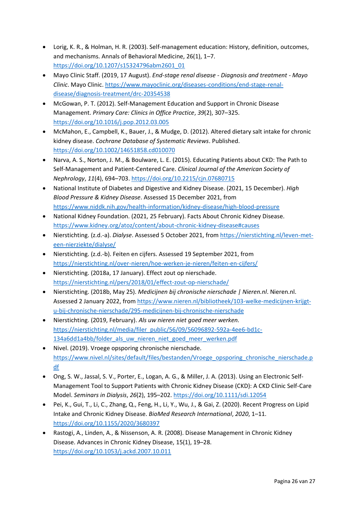- Lorig, K. R., & Holman, H. R. (2003). Self-management education: History, definition, outcomes, and mechanisms. Annals of Behavioral Medicine, 26(1), 1–7. [https://doi.org/10.1207/s15324796abm2601\\_01](https://doi.org/10.1207/s15324796abm2601_01)
- Mayo Clinic Staff. (2019, 17 August). *End-stage renal disease - Diagnosis and treatment - Mayo Clinic*. Mayo Clinic[. https://www.mayoclinic.org/diseases-conditions/end-stage-renal](https://www.mayoclinic.org/diseases-conditions/end-stage-renal-disease/diagnosis-treatment/drc-20354538)[disease/diagnosis-treatment/drc-20354538](https://www.mayoclinic.org/diseases-conditions/end-stage-renal-disease/diagnosis-treatment/drc-20354538)
- McGowan, P. T. (2012). Self-Management Education and Support in Chronic Disease Management. *Primary Care: Clinics in Office Practice*, *39*(2), 307–325. <https://doi.org/10.1016/j.pop.2012.03.005>
- McMahon, E., Campbell, K., Bauer, J., & Mudge, D. (2012). Altered dietary salt intake for chronic kidney disease. *Cochrane Database of Systematic Reviews*. Published. <https://doi.org/10.1002/14651858.cd010070>
- Narva, A. S., Norton, J. M., & Boulware, L. E. (2015). Educating Patients about CKD: The Path to Self-Management and Patient-Centered Care. *Clinical Journal of the American Society of Nephrology*, *11*(4), 694–703[. https://doi.org/10.2215/cjn.07680715](https://doi.org/10.2215/cjn.07680715)
- National Institute of Diabetes and Digestive and Kidney Disease. (2021, 15 December). *High Blood Pressure & Kidney Disease*. Assessed 15 December 2021, from <https://www.niddk.nih.gov/health-information/kidney-disease/high-blood-pressure>
- National Kidney Foundation. (2021, 25 February). Facts About Chronic Kidney Disease. <https://www.kidney.org/atoz/content/about-chronic-kidney-disease#causes>
- Nierstichting. (z.d.-a). *Dialyse*. Assessed 5 October 2021, from [https://nierstichting.nl/leven-met](https://nierstichting.nl/leven-met-een-nierziekte/dialyse/)[een-nierziekte/dialyse/](https://nierstichting.nl/leven-met-een-nierziekte/dialyse/)
- Nierstichting. (z.d.-b). Feiten en cijfers. Assessed 19 September 2021, from <https://nierstichting.nl/over-nieren/hoe-werken-je-nieren/feiten-en-cijfers/>
- Nierstichting. (2018a, 17 January). Effect zout op nierschade. <https://nierstichting.nl/pers/2018/01/effect-zout-op-nierschade/>
- Nierstichting. (2018b, May 25). *Medicijnen bij chronische nierschade | Nieren.nl*. Nieren.nl. Assessed 2 January 2022, from [https://www.nieren.nl/bibliotheek/103-welke-medicijnen-krijgt](https://www.nieren.nl/bibliotheek/103-welke-medicijnen-krijgt-u-bij-chronische-nierschade/295-medicijnen-bij-chronische-nierschade)[u-bij-chronische-nierschade/295-medicijnen-bij-chronische-nierschade](https://www.nieren.nl/bibliotheek/103-welke-medicijnen-krijgt-u-bij-chronische-nierschade/295-medicijnen-bij-chronische-nierschade)
- Nierstichting. (2019, February). *Als uw nieren niet goed meer werken.*  [https://nierstichting.nl/media/filer\\_public/56/09/56096892-592a-4ee6-bd1c-](https://nierstichting.nl/media/filer_public/56/09/56096892-592a-4ee6-bd1c-134a6dd1a4bb/folder_als_uw_nieren_niet_goed_meer_werken.pdf)[134a6dd1a4bb/folder\\_als\\_uw\\_nieren\\_niet\\_goed\\_meer\\_werken.pdf](https://nierstichting.nl/media/filer_public/56/09/56096892-592a-4ee6-bd1c-134a6dd1a4bb/folder_als_uw_nieren_niet_goed_meer_werken.pdf)
- Nivel. (2019). Vroege opsporing chronische nierschade. [https://www.nivel.nl/sites/default/files/bestanden/Vroege\\_opsporing\\_chronische\\_nierschade.p](https://www.nivel.nl/sites/default/files/bestanden/Vroege_opsporing_chronische_nierschade.pdf) [df](https://www.nivel.nl/sites/default/files/bestanden/Vroege_opsporing_chronische_nierschade.pdf)
- Ong, S. W., Jassal, S. V., Porter, E., Logan, A. G., & Miller, J. A. (2013). Using an Electronic Self-Management Tool to Support Patients with Chronic Kidney Disease (CKD): A CKD Clinic Self-Care Model. *Seminars in Dialysis*, *26*(2), 195–202.<https://doi.org/10.1111/sdi.12054>
- Pei, K., Gui, T., Li, C., Zhang, Q., Feng, H., Li, Y., Wu, J., & Gai, Z. (2020). Recent Progress on Lipid Intake and Chronic Kidney Disease. *BioMed Research International*, *2020*, 1–11. <https://doi.org/10.1155/2020/3680397>
- Rastogi, A., Linden, A., & Nissenson, A. R. (2008). Disease Management in Chronic Kidney Disease. Advances in Chronic Kidney Disease, 15(1), 19–28. <https://doi.org/10.1053/j.ackd.2007.10.011>